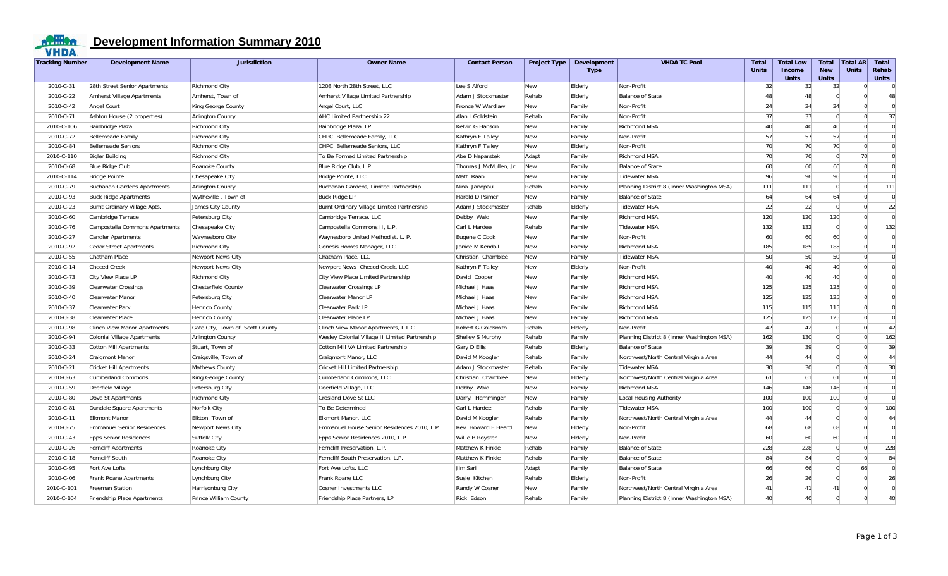

## *ODERSA* Development Information Summary 2010

| Tracking Number | <b>Development Name</b>           | <b>Jurisdiction</b>              | <b>Owner Name</b>                              | <b>Contact Person</b>  | <b>Project Type</b> | <b>Development</b><br><b>Type</b> | <b>VHDA TC Pool</b>                        | Total<br><b>Units</b> | <b>Total Low</b><br>Income<br><b>Units</b> | Total<br><b>New</b><br><b>Units</b> | <b>Total AR</b><br><b>Units</b> | <b>Total</b><br>Rehab<br><b>Units</b> |
|-----------------|-----------------------------------|----------------------------------|------------------------------------------------|------------------------|---------------------|-----------------------------------|--------------------------------------------|-----------------------|--------------------------------------------|-------------------------------------|---------------------------------|---------------------------------------|
| 2010-C-31       | 28th Street Senior Apartments     | <b>Richmond City</b>             | 1208 North 28th Street, LLC                    | Lee S Alford           | New                 | Elderly                           | Non-Profit                                 | 32                    | 32                                         | 32                                  | $\Omega$                        | $\overline{0}$                        |
| 2010-C-22       | Amherst Village Apartments        | Amherst, Town of                 | Amherst Village Limited Partnership            | Adam J Stockmaster     | Rehab               | Elderly                           | Balance of State                           | 48                    | 48                                         | $\Omega$                            | $\Omega$                        | 48                                    |
| 2010-C-42       | Angel Court                       | King George County               | Angel Court, LLC                               | Fronce W Wardlaw       | New                 | Family                            | Non-Profit                                 | 24                    | 24                                         | 24                                  | $\Omega$                        | $\Omega$                              |
| 2010-C-71       | Ashton House (2 properties)       | <b>Arlington County</b>          | AHC Limited Partnership 22                     | Alan I Goldstein       | Rehab               | Family                            | Non-Profit                                 | 37                    | 37                                         | $\Omega$                            | $\Omega$                        | 37                                    |
| 2010-C-106      | Bainbridge Plaza                  | <b>Richmond City</b>             | Bainbridge Plaza, LP                           | Kelvin G Hanson        | New                 | Family                            | <b>Richmond MSA</b>                        | 40                    | 40                                         | 40                                  | $\Omega$                        | $\overline{0}$                        |
| 2010-C-72       | Bellemeade Family                 | <b>Richmond City</b>             | CHPC Bellemeade Family, LLC                    | Kathryn F Talley       | New                 | Family                            | Non-Profit                                 | 57                    | 57                                         | 57                                  | $\Omega$                        | $\Omega$                              |
| 2010-C-84       | <b>Bellemeade Seniors</b>         | <b>Richmond City</b>             | CHPC Bellemeade Seniors, LLC                   | Kathryn F Talley       | New                 | Elderly                           | Non-Profit                                 | 70                    | 70                                         | 70                                  | $\Omega$                        | $\overline{0}$                        |
| 2010-C-110      | <b>Bigler Building</b>            | <b>Richmond City</b>             | To Be Formed Limited Partnership               | Abe D Naparstek        | Adapt               | Family                            | <b>Richmond MSA</b>                        | 70                    | 70                                         | $\Omega$                            | 70                              | $\Omega$                              |
| 2010-C-68       | <b>Blue Ridge Club</b>            | Roanoke County                   | Blue Ridge Club, L.P.                          | Thomas J McMullen, Jr. | New                 | Family                            | <b>Balance of State</b>                    | 60                    | 60                                         | 60                                  | $\Omega$                        | $\Omega$                              |
| 2010-C-114      | <b>Bridge Pointe</b>              | Chesapeake City                  | Bridge Pointe, LLC                             | Matt Raab              | New                 | Family                            | <b>Tidewater MSA</b>                       | 96                    | 96                                         | 96                                  | $\Omega$                        | $\Omega$                              |
| 2010-C-79       | Buchanan Gardens Apartments       | <b>Arlington County</b>          | Buchanan Gardens, Limited Partnership          | Nina Janopaul          | Rehab               | Family                            | Planning District 8 (Inner Washington MSA) | 111                   | 111                                        | $\Omega$                            | $\Omega$                        | 111                                   |
| 2010-C-93       | <b>Buck Ridge Apartments</b>      | Wytheville, Town of              | <b>Buck Ridge LP</b>                           | Harold D Psimer        | New                 | Family                            | <b>Balance of State</b>                    | 64                    | 64                                         | 64                                  | $\Omega$                        | $\Omega$                              |
| 2010-C-23       | Burnt Ordinary Village Apts.      | James City County                | Burnt Ordinary Village Limited Partnership     | Adam J Stockmaster     | Rehab               | Elderly                           | <b>Tidewater MSA</b>                       | 22                    | 22                                         | $\Omega$                            | $\Omega$                        | 22                                    |
| 2010-C-60       | Cambridge Terrace                 | Petersburg City                  | Cambridge Terrace, LLC                         | Debby Waid             | New                 | Family                            | <b>Richmond MSA</b>                        | 120                   | 120                                        | 120                                 | $\Omega$                        | $\Omega$                              |
| 2010-C-76       | Campostella Commons Apartments    | Chesapeake City                  | Campostella Commons II, L.P.                   | Carl L Hardee          | Rehab               | Family                            | <b>Tidewater MSA</b>                       | 132                   | 132                                        | $\overline{0}$                      | $\Omega$                        | 132                                   |
| 2010-C-27       | <b>Candler Apartments</b>         | Waynesboro City                  | Waynesboro United Methodist. L. P.             | Eugene C Cook          | New                 | Family                            | Non-Profit                                 | 60                    | 60                                         | 60                                  | $\Omega$                        | $\Omega$                              |
| 2010-C-92       | <b>Cedar Street Apartments</b>    | <b>Richmond City</b>             | Genesis Homes Manager, LLC                     | Janice M Kendall       | New                 | Family                            | <b>Richmond MSA</b>                        | 185                   | 185                                        | 185                                 | $\Omega$                        | $\Omega$                              |
| 2010-C-55       | Chatham Place                     | Newport News City                | Chatham Place, LLC                             | Christian Chamblee     | New                 | Family                            | <b>Tidewater MSA</b>                       | 50                    | 50                                         | 50                                  | $\Omega$                        | $\Omega$                              |
| 2010-C-14       | <b>Checed Creek</b>               | Newport News City                | Newport News Checed Creek, LLC                 | Kathryn F Talley       | New                 | Elderly                           | Non-Profit                                 | 40                    | 40                                         | 40                                  | $\overline{0}$                  | $\Omega$                              |
| 2010-C-73       | City View Place LP                | <b>Richmond City</b>             | City View Place Limited Partnership            | David Cooper           | New                 | Family                            | Richmond MSA                               | 40                    | 40                                         | 40                                  | $\Omega$                        | $\Omega$                              |
| 2010-C-39       | <b>Clearwater Crossings</b>       | <b>Chesterfield County</b>       | <b>Clearwater Crossings LP</b>                 | Michael J Haas         | New                 | Family                            | <b>Richmond MSA</b>                        | 125                   | 125                                        | 125                                 | $\overline{0}$                  | $\Omega$                              |
| 2010-C-40       | Clearwater Manor                  | Petersburg City                  | Clearwater Manor LP                            | Michael J Haas         | New                 | Family                            | <b>Richmond MSA</b>                        | 125                   | 125                                        | 125                                 | $\overline{0}$                  | $\Omega$                              |
| 2010-C-37       | Clearwater Park                   | Henrico County                   | Clearwater Park LP                             | Michael J Haas         | New                 | Family                            | <b>Richmond MSA</b>                        | 115                   | 115                                        | 115                                 | $\Omega$                        | $\Omega$                              |
| 2010-C-38       | Clearwater Place                  | Henrico County                   | Clearwater Place LP                            | Michael J Haas         | New                 | Family                            | <b>Richmond MSA</b>                        | 125                   | 125                                        | 125                                 | $\Omega$                        | $\Omega$                              |
| 2010-C-98       | Clinch View Manor Apartments      | Gate City, Town of, Scott County | Clinch View Manor Apartments, L.L.C.           | Robert G Goldsmith     | Rehab               | Elderly                           | Non-Profit                                 | 42                    | 42                                         | $\overline{0}$                      | $\Omega$                        | 42                                    |
| 2010-C-94       | Colonial Village Apartments       | <b>Arlington County</b>          | Wesley Colonial Village II Limited Partnership | Shelley S Murphy       | Rehab               | Family                            | Planning District 8 (Inner Washington MSA) | 162                   | 130                                        | $\mathbf 0$                         | $\Omega$                        | 162                                   |
| 2010-C-33       | <b>Cotton Mill Apartments</b>     | Stuart, Town of                  | Cotton Mill VA Limited Partnership             | Gary D Ellis           | Rehab               | Elderly                           | Balance of State                           | 39                    | 39                                         | $\overline{0}$                      | $\Omega$                        | 39                                    |
| 2010-C-24       | <b>Craigmont Manor</b>            | Craigsville, Town of             | Craigmont Manor, LLC                           | David M Koogler        | Rehab               | Family                            | Northwest/North Central Virginia Area      | 44                    | 44                                         | $\Omega$                            | $\Omega$                        | 44                                    |
| 2010-C-21       | <b>Cricket Hill Apartments</b>    | Mathews County                   | Cricket Hill Limited Partnership               | Adam J Stockmaster     | Rehab               | Family                            | <b>Tidewater MSA</b>                       | 30                    | 30                                         | $\mathbf 0$                         | $\Omega$                        | 30 <sup>°</sup>                       |
| 2010-C-63       | Cumberland Commons                | King George County               | Cumberland Commons, LLC                        | Christian Chamblee     | New                 | Elderly                           | Northwest/North Central Virginia Area      | 61                    | 61                                         | 61                                  | $\Omega$                        | $\Omega$                              |
| 2010-C-59       | Deerfield Village                 | Petersburg City                  | Deerfield Village, LLC                         | Debby Waid             | New                 | Family                            | <b>Richmond MSA</b>                        | 146                   | 146                                        | 146                                 | $\Omega$                        | $\Omega$                              |
| 2010-C-80       | Dove St Apartments                | <b>Richmond City</b>             | Crosland Dove St LLC                           | Darryl Hemminger       | New                 | Family                            | Local Housing Authority                    | 100                   | 100                                        | 100                                 | $\Omega$                        | $\Omega$                              |
| 2010-C-81       | Dundale Square Apartments         | Norfolk City                     | To Be Determined                               | Carl L Hardee          | Rehab               | Family                            | <b>Tidewater MSA</b>                       | 100                   | 100                                        | $\Omega$                            | $\Omega$                        | 100                                   |
| 2010-C-11       | <b>Elkmont Manor</b>              | Elkton, Town of                  | Elkmont Manor, LLC                             | David M Koogler        | Rehab               | Family                            | Northwest/North Central Virginia Area      | 44                    | 44                                         | $\overline{0}$                      | $\Omega$                        | 44                                    |
| 2010-C-75       | <b>Emmanuel Senior Residences</b> | Newport News City                | Emmanuel House Senior Residences 2010, L.P.    | Rev. Howard E Heard    | New                 | Elderly                           | Non-Profit                                 | 68                    | 68                                         | 68                                  | $\Omega$                        | $\Omega$                              |
| 2010-C-43       | <b>Epps Senior Residences</b>     | Suffolk City                     | Epps Senior Residences 2010, L.P.              | Willie B Royster       | <b>New</b>          | Elderly                           | Non-Profit                                 | 60                    | 60                                         | 60                                  | $\Omega$                        | $\overline{0}$                        |
| 2010-C-26       | <b>Ferncliff Apartments</b>       | Roanoke City                     | Ferncliff Preservation, L.P.                   | Matthew K Finkle       | Rehab               | Family                            | Balance of State                           | 228                   | 228                                        | $\Omega$                            | $\Omega$                        | 228                                   |
| 2010-C-18       | Ferncliff South                   | Roanoke City                     | Ferncliff South Preservation, L.P.             | Matthew K Finkle       | Rehab               | Family                            | <b>Balance of State</b>                    | 84                    | 84                                         | $\Omega$                            | $\Omega$                        | 84                                    |
| 2010-C-95       | Fort Ave Lofts                    | Lynchburg City                   | Fort Ave Lofts, LLC                            | Jim Sari               | Adapt               | Family                            | Balance of State                           | 66                    | 66                                         | $\Omega$                            | 66                              | $\Omega$                              |
| 2010-C-06       | Frank Roane Apartments            | Lynchburg City                   | Frank Roane LLC                                | Susie Kitchen          | Rehab               | Elderly                           | Non-Profit                                 | 26                    | 26                                         | $\Omega$                            | $\Omega$                        | 26                                    |
| 2010-C-101      | <b>Freeman Station</b>            | Harrisonburg City                | Cosner Investments LLC                         | Randy W Cosner         | New                 | Family                            | Northwest/North Central Virginia Area      | 41                    | 41                                         | 41                                  | $\Omega$                        | $\Omega$                              |
| 2010-C-104      | Friendship Place Apartments       | Prince William County            | Friendship Place Partners, LP                  | Rick Edson             | Rehab               | Family                            | Planning District 8 (Inner Washington MSA) | 40                    | 40                                         | $\Omega$                            | $\Omega$                        | 40 <sup>1</sup>                       |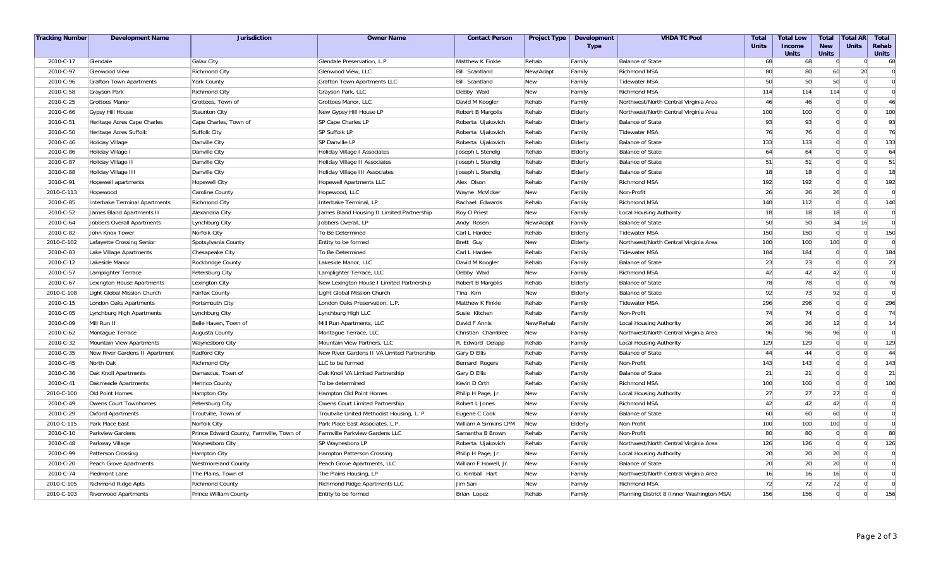| <b>Tracking Number</b> | <b>Development Name</b>        | <b>Jurisdiction</b>                      | <b>Owner Name</b>                           | <b>Contact Person</b> | <b>Project Type</b> | <b>Development</b><br><b>Type</b> | <b>VHDA TC Pool</b>                        | <b>Total</b><br><b>Units</b> | <b>Total Low</b><br><b>Income</b><br><b>Units</b> | <b>Total</b><br><b>New</b><br><b>Units</b> | <b>Total AR</b><br><b>Units</b> | <b>Total</b><br>Rehab<br><b>Units</b> |
|------------------------|--------------------------------|------------------------------------------|---------------------------------------------|-----------------------|---------------------|-----------------------------------|--------------------------------------------|------------------------------|---------------------------------------------------|--------------------------------------------|---------------------------------|---------------------------------------|
| 2010-C-17              | Glendale                       | Galax City                               | Glendale Preservation, L.P                  | Matthew K Finkle      | Rehab               | Family                            | <b>Balance of State</b>                    | 68                           | 68                                                | $\overline{0}$                             | $\Omega$                        | 68                                    |
| 2010-C-97              | Glenwood View                  | <b>Richmond City</b>                     | Glenwood View, LLC                          | <b>Bill Scantland</b> | New/Adapt           | Family                            | <b>Richmond MSA</b>                        | 80                           | 80                                                | 60                                         | 20                              | $\overline{0}$                        |
| 2010-C-96              | Grafton Town Apartments        | <b>York County</b>                       | Grafton Town Apartments LLC                 | Bill Scantland        | New                 | Family                            | <b>Tidewater MSA</b>                       | 50                           | 50                                                | 50                                         | $\Omega$                        | $\Omega$                              |
| 2010-C-58              | Grayson Park                   | <b>Richmond City</b>                     | Grayson Park, LLC                           | Debby Waid            | New                 | Family                            | <b>Richmond MSA</b>                        | 114                          | 114                                               | 114                                        | $\Omega$                        | $\Omega$                              |
| 2010-C-25              | <b>Grottoes Manor</b>          | Grottoes, Town of                        | Grottoes Manor, LLC                         | David M Koogler       | Rehab               | Family                            | Northwest/North Central Virginia Area      | 46                           | 46                                                | $\Omega$                                   | $\Omega$                        | 46                                    |
| 2010-C-66              | <b>Gypsy Hill House</b>        | <b>Staunton City</b>                     | New Gypsy Hill House LP                     | Robert B Margolis     | Rehab               | Elderly                           | Northwest/North Central Virginia Area      | 100                          | 100                                               | $\mathbf 0$                                | $\Omega$                        | 100                                   |
| 2010-C-51              | Heritage Acres Cape Charles    | Cape Charles, Town of                    | SP Cape Charles LP                          | Roberta Ujakovich     | Rehab               | Elderly                           | <b>Balance of State</b>                    | 93                           | 93                                                | $\mathbf 0$                                | $\Omega$                        | 93                                    |
| 2010-C-50              | Heritage Acres Suffolk         | Suffolk City                             | SP Suffolk LP                               | Roberta Ujakovich     | Rehab               | Family                            | <b>Tidewater MSA</b>                       | 76                           | 76                                                | $\Omega$                                   | $\Omega$                        | 76                                    |
| 2010-C-46              | Holiday Village                | Danville City                            | SP Danville LP                              | Roberta Ujakovich     | Rehab               | Elderly                           | <b>Balance of State</b>                    | 133                          | 133                                               | $\Omega$                                   | $\Omega$                        | 133                                   |
| 2010-C-86              | Holiday Village I              | Danville City                            | Holiday Village I Associates                | Joseph L Stendig      | Rehab               | Elderly                           | <b>Balance of State</b>                    | 64                           | 64                                                | $\Omega$                                   | $\Omega$                        | 64                                    |
| 2010-C-87              | Holiday Village II             | Danville City                            | Holiday Village II Associates               | Joseph L Stendig      | Rehab               | Elderly                           | <b>Balance of State</b>                    | 51                           | 51                                                | $\mathbf 0$                                | $\Omega$                        | 51                                    |
| 2010-C-88              | Holiday Village III            | Danville City                            | Holiday Village III Associates              | Joseph L Stendig      | Rehab               | Elderly                           | <b>Balance of State</b>                    | 18                           | 18                                                | $\Omega$                                   | $\Omega$                        | 18                                    |
| 2010-C-91              | Hopewell apartments            | <b>Hopewell City</b>                     | Hopewell Apartments LLC                     | Alex Olson            | Rehab               | Family                            | <b>Richmond MSA</b>                        | 192                          | 192                                               | $\overline{0}$                             | $\Omega$                        | 192                                   |
| 2010-C-113             | Hopewood                       | Caroline County                          | Hopewood, LLC                               | Wayne McVicker        | New                 | Family                            | Non-Profit                                 | 26                           | 26                                                | 26                                         | $\Omega$                        | $\overline{0}$                        |
| 2010-C-85              | Interbake Terminal Apartments  | <b>Richmond City</b>                     | Interbake Terminal, LP                      | Rachael Edwards       | Rehab               | Family                            | <b>Richmond MSA</b>                        | 140                          | 112                                               | $\overline{0}$                             | $\Omega$                        | 140                                   |
| 2010-C-52              | James Bland Apartments II      | Alexandria City                          | James Bland Housing II Limited Partnership  | Roy O Priest          | New                 | Family                            | Local Housing Authority                    | 18                           | 18                                                | 18                                         | $\Omega$                        | $\overline{0}$                        |
| 2010-C-64              | Jobbers Overall Apartments     | Lynchburg City                           | Jobbers Overall, LP                         | Andy Rosen            | New/Adapt           | Family                            | <b>Balance of State</b>                    | 50                           | 50                                                | 34                                         | 16                              | $\overline{0}$                        |
| 2010-C-82              | John Knox Tower                | Norfolk City                             | To Be Determined                            | Carl L Hardee         | Rehab               | Elderly                           | Tidewater MSA                              | 150                          | 150                                               | $\overline{0}$                             | $\Omega$                        | 150                                   |
| 2010-C-102             | Lafayette Crossing Senior      | Spotsylvania County                      | Entity to be formed                         | Brett Guy             | New                 | Elderly                           | Northwest/North Central Virginia Area      | 100                          | 100                                               | 100                                        | $\Omega$                        | $\overline{0}$                        |
| 2010-C-83              | Lake Village Apartments        | Chesapeake City                          | To Be Determined                            | Carl L Hardee         | Rehab               | Family                            | <b>Tidewater MSA</b>                       | 184                          | 184                                               | $\overline{0}$                             | $\Omega$                        | 184                                   |
| 2010-C-12              | Lakeside Manor                 | Rockbridge County                        | Lakeside Manor, LLC                         | David M Koogler       | Rehab               | Family                            | <b>Balance of State</b>                    | 23                           | 23                                                | $\overline{0}$                             | $\Omega$                        | 23                                    |
| 2010-C-57              | Lamplighter Terrace            | Petersburg City                          | Lamplighter Terrace, LLC                    | Debby Waid            | New                 | Family                            | <b>Richmond MSA</b>                        | 42                           | 42                                                | 42                                         | $\Omega$                        | $\overline{0}$                        |
| 2010-C-67              | Lexington House Apartments     | Lexington City                           | New Lexington House I Limited Partnership   | Robert B Margolis     | Rehab               | Elderly                           | <b>Balance of State</b>                    | 78                           | 78                                                | $\overline{0}$                             | $\Omega$                        | 78                                    |
| 2010-C-108             | Light Global Mission Church    | <b>Fairfax County</b>                    | Light Global Mission Church                 | Tina Kim              | New                 | Elderly                           | <b>Balance of State</b>                    | 92                           | 73                                                | 92                                         | $\Omega$                        | $\Omega$                              |
| 2010-C-15              | London Oaks Apartments         | Portsmouth City                          | London Oaks Preservation, L.P.              | Matthew K Finkle      | Rehab               | Family                            | <b>Tidewater MSA</b>                       | 296                          | 296                                               | $\overline{0}$                             | $\Omega$                        | 296                                   |
| 2010-C-05              | Lynchburg High Apartments      | Lynchburg City                           | Lynchburg High LLC                          | Susie Kitchen         | Rehab               | Family                            | Non-Profit                                 | 74                           | 74                                                | $\Omega$                                   | $\Omega$                        | 74                                    |
| 2010-C-09              | Mill Run II                    | Belle Haven, Town of                     | Mill Run Apartments, LLC                    | David F Annis         | New/Rehab           | Family                            | Local Housing Authority                    | 26                           | 26                                                | 12                                         | $\Omega$                        | 14                                    |
| 2010-C-62              | Montague Terrace               | Augusta County                           | Montague Terrace, LLC                       | Christian Chamblee    | New                 | Family                            | Northwest/North Central Virginia Area      | 96                           | 96                                                | 96                                         | $\Omega$                        | $\Omega$                              |
| 2010-C-32              | Mountain View Apartments       | Waynesboro City                          | Mountain View Partners, LLC                 | R. Edward Delapp      | Rehab               | Family                            | Local Housing Authority                    | 129                          | 129                                               | $\Omega$                                   | $\Omega$                        | 129                                   |
| 2010-C-35              | New River Gardens II Apartment | Radford City                             | New River Gardens II VA Limited Partnership | Gary D Ellis          | Rehab               | Family                            | Balance of State                           | 44                           | 44                                                | $\mathbf 0$                                | $\Omega$                        | 44                                    |
| 2010-C-45              | North Oak                      | <b>Richmond City</b>                     | LLC to be formed                            | Bernard Rogers        | Rehab               | Family                            | Non-Profit                                 | 143                          | 143                                               | $\mathbf 0$                                | $\Omega$                        | 143                                   |
| 2010-C-36              | Oak Knoll Apartments           | Damascus, Town of                        | Oak Knoll VA Limited Partnership            | Gary D Ellis          | Rehab               | Family                            | <b>Balance of State</b>                    | 21                           | 21                                                | $\Omega$                                   | $\Omega$                        | 21                                    |
| 2010-C-41              | Oakmeade Apartments            | Henrico County                           | To be determined                            | Kevin D Orth          | Rehab               | Family                            | <b>Richmond MSA</b>                        | 100                          | 100                                               | $\Omega$                                   | $\Omega$                        | 100                                   |
| 2010-C-100             | Old Point Homes                | Hampton City                             | Hampton Old Point Homes                     | Philip H Page, Jr     | New                 | Family                            | Local Housing Authority                    | 27                           | 27                                                | 27                                         | $\Omega$                        | $\overline{0}$                        |
| 2010-C-49              | Owens Court Townhomes          | Petersburg City                          | Owens Court Limited Partnership             | Robert L Jones        | New                 | Family                            | <b>Richmond MSA</b>                        | 42                           | 42                                                | 42                                         | $\overline{0}$                  | $\overline{0}$                        |
| 2010-C-29              | <b>Oxford Apartments</b>       | Troutville, Town of                      | Troutville United Methodist Housing, L. P.  | Eugene C Cook         | New                 | Family                            | Balance of State                           | 60                           | 60                                                | 60                                         | $\Omega$                        | $\Omega$                              |
| 2010-C-115             | Park Place East                | Norfolk City                             | Park Place East Associates, L.P.            | William A Simkins CPM | New                 | Elderly                           | Non-Profit                                 | 100                          | 100                                               | 100                                        | $\Omega$                        | $\overline{0}$                        |
| 2010-C-10              | Parkview Gardens               | Prince Edward County, Farmville, Town of | Farmville Parkview Gardens LLC              | Samantha B Brown      | Rehab               | Family                            | Non-Profit                                 | 80                           | 80                                                | $\overline{0}$                             | $\Omega$                        | 80                                    |
| 2010-C-48              | Parkway Village                | Waynesboro City                          | SP Waynesboro LP                            | Roberta Ujakovich     | Rehab               | Family                            | Northwest/North Central Virginia Area      | 126                          | 126                                               | $\overline{0}$                             | $\overline{0}$                  | 126                                   |
| 2010-C-99              | Patterson Crossing             | <b>Hampton City</b>                      | Hampton Patterson Crossing                  | Philip H Page, Jr.    | New                 | Family                            | Local Housing Authority                    | 20                           | 20                                                | 20                                         | $\Omega$                        | $\overline{0}$                        |
| 2010-C-20              | Peach Grove Apartments         | <b>Westmoreland County</b>               | Peach Grove Apartments, LLC                 | William F Howell, Jr  | New                 | Family                            | <b>Balance of State</b>                    | 20                           | 20                                                | 20                                         | $\Omega$                        | $\Omega$                              |
| 2010-C-74              | Piedmont Lane                  | The Plains, Town of                      | The Plains Housing, LP                      | G. Kimball Hart       | <b>New</b>          | Family                            | Northwest/North Central Virginia Area      | 16                           | 16                                                | 16                                         | $\Omega$                        | $\Omega$                              |
| 2010-C-105             | <b>Richmond Ridge Apts</b>     | <b>Richmond County</b>                   | Richmond Ridge Apartments LLC               | Jim Sari              | New                 | Family                            | <b>Richmond MSA</b>                        | 72                           | 72                                                | 72                                         | $\Omega$                        | $\overline{0}$                        |
| 2010-C-103             | <b>Riverwood Apartments</b>    | Prince William County                    | Entity to be formed                         | Brian Lopez           | Rehab               | <b>Family</b>                     | Planning District 8 (Inner Washington MSA) | 156                          | 156                                               | $\Omega$                                   | $\Omega$                        | 156                                   |